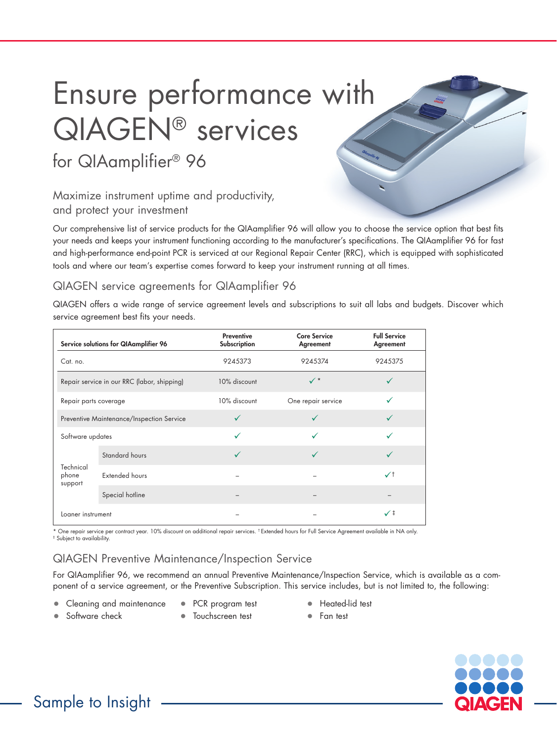# Ensure performance with QIAGEN® services

for QIAamplifier® 96

## Maximize instrument uptime and productivity, and protect your investment

Our comprehensive list of service products for the QIAamplifier 96 will allow you to choose the service option that best fits your needs and keeps your instrument functioning according to the manufacturer's specifications. The QIAamplifier 96 for fast and high-performance end-point PCR is serviced at our Regional Repair Center (RRC), which is equipped with sophisticated tools and where our team's expertise comes forward to keep your instrument running at all times.

## QIAGEN service agreements for QIAamplifier 96

QIAGEN offers a wide range of service agreement levels and subscriptions to suit all labs and budgets. Discover which service agreement best fits your needs.

|                                             | Service solutions for QIAamplifier 96 | <b>Preventive</b><br>Subscription | <b>Core Service</b><br>Agreement | <b>Full Service</b><br>Agreement |
|---------------------------------------------|---------------------------------------|-----------------------------------|----------------------------------|----------------------------------|
| Cat. no.                                    |                                       | 9245373                           | 9245374                          | 9245375                          |
| Repair service in our RRC (labor, shipping) |                                       | 10% discount                      | $\checkmark$ *                   |                                  |
| Repair parts coverage                       |                                       | 10% discount                      | One repair service               |                                  |
| Preventive Maintenance/Inspection Service   |                                       | ✓                                 | ✓                                |                                  |
| Software updates                            |                                       | $\checkmark$                      |                                  |                                  |
| Technical<br>phone<br>support               | Standard hours                        | ✓                                 | ✓                                |                                  |
|                                             | Extended hours                        |                                   |                                  | $\checkmark$                     |
|                                             | Special hotline                       |                                   |                                  |                                  |
| Loaner instrument                           |                                       |                                   |                                  | $\checkmark$                     |

\* One repair service per contract year. 10% discount on additional repair services. † Extended hours for Full Service Agreement available in NA only. ‡ Subject to availability.

## QIAGEN Preventive Maintenance/Inspection Service

For QIAamplifier 96, we recommend an annual Preventive Maintenance/Inspection Service, which is available as a component of a service agreement, or the Preventive Subscription. This service includes, but is not limited to, the following:

- Cleaning and maintenance
- PCR program test
- Heated-lid test
- Software check
- Touchscreen test
- Fan test